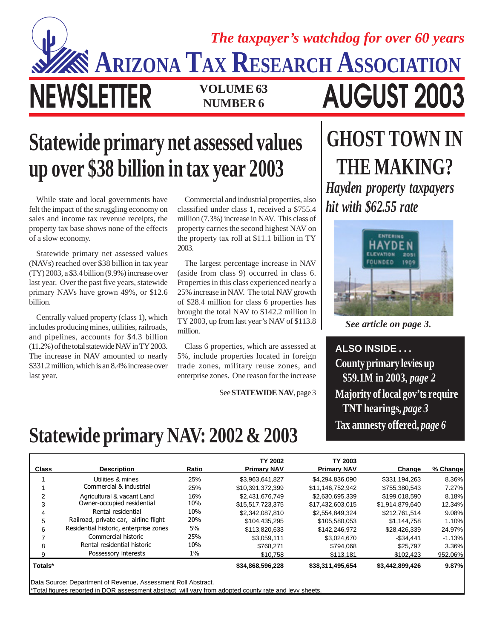## **NEWSLETTER VOLUME 63 AUGUST 2003 NUMBER 6 ARIZONA TAX RESEARCH ASSOCIATION** *The taxpayer's watchdog for over 60 years*

## **Statewide primary net assessed values up over \$38 billion in tax year 2003**

While state and local governments have felt the impact of the struggling economy on sales and income tax revenue receipts, the property tax base shows none of the effects of a slow economy.

Statewide primary net assessed values (NAVs) reached over \$38 billion in tax year (TY) 2003, a \$3.4 billion (9.9%) increase over last year. Over the past five years, statewide primary NAVs have grown 49%, or \$12.6 billion.

Centrally valued property (class 1), which includes producing mines, utilities, railroads, and pipelines, accounts for \$4.3 billion (11.2%) of the total statewide NAV in TY 2003. The increase in NAV amounted to nearly \$331.2 million, which is an 8.4% increase over last year.

Commercial and industrial properties, also classified under class 1, received a \$755.4 million (7.3%) increase in NAV. This class of property carries the second highest NAV on the property tax roll at \$11.1 billion in TY 2003.

The largest percentage increase in NAV (aside from class 9) occurred in class 6. Properties in this class experienced nearly a 25% increase in NAV. The total NAV growth of \$28.4 million for class 6 properties has brought the total NAV to \$142.2 million in TY 2003, up from last year's NAV of \$113.8 million.

Class 6 properties, which are assessed at 5%, include properties located in foreign trade zones, military reuse zones, and enterprise zones. One reason for the increase

See **STATEWIDE NAV**, page 3

## **GHOST TOWN IN THE MAKING?** *Hayden property taxpayers hit with \$62.55 rate*



*See article on page 3.*

**ALSO INSIDE . . . County primary levies up \$59.1M in 2003,** *page 2* **Majority of local gov'ts require TNT hearings,** *page 3* **Tax amnesty offered,** *page 6*

## **Statewide primary NAV: 2002 & 2003**

| <b>Class</b> | <b>Description</b>                                            | Ratio | <b>TY 2002</b><br><b>Primary NAV</b> | TY 2003<br><b>Primary NAV</b> | Change          | % Change |
|--------------|---------------------------------------------------------------|-------|--------------------------------------|-------------------------------|-----------------|----------|
|              | Utilities & mines                                             | 25%   | \$3,963,641,827                      | \$4,294,836,090               | \$331,194,263   | 8.36%    |
|              | Commercial & industrial                                       | 25%   | \$10.391.372.399                     | \$11.146.752.942              | \$755,380,543   | 7.27%    |
| 2            | Agricultural & vacant Land                                    | 16%   | \$2,431,676,749                      | \$2,630,695,339               | \$199,018,590   | 8.18%    |
| 3            | Owner-occupied residential                                    | 10%   | \$15,517,723,375                     | \$17.432.603.015              | \$1,914,879,640 | 12.34%   |
| 4            | Rental residential                                            | 10%   | \$2,342,087.810                      | \$2.554.849.324               | \$212.761.514   | 9.08%    |
| 5            | Railroad, private car, airline flight                         | 20%   | \$104,435,295                        | \$105,580,053                 | \$1,144,758     | 1.10%    |
| 6            | Residential historic, enterprise zones                        | 5%    | \$113,820,633                        | \$142,246,972                 | \$28,426,339    | 24.97%   |
|              | Commercial historic                                           | 25%   | \$3,059,111                          | \$3,024,670                   | $-$ \$34.441    | $-1.13%$ |
| 8            | Rental residential historic                                   | 10%   | \$768.271                            | \$794,068                     | \$25,797        | 3.36%    |
| 9            | Possessory interests                                          | $1\%$ | \$10,758                             | \$113,181                     | \$102,423       | 952.06%  |
| Totals*      |                                                               |       | \$34,868,596,228                     | \$38,311,495,654              | \$3,442,899,426 | 9.87%    |
|              | Data Source: Department of Revenue, Assessment Roll Abstract. |       |                                      |                               |                 |          |

\*Total figures reported in DOR assessment abstract will vary from adopted county rate and levy sheets.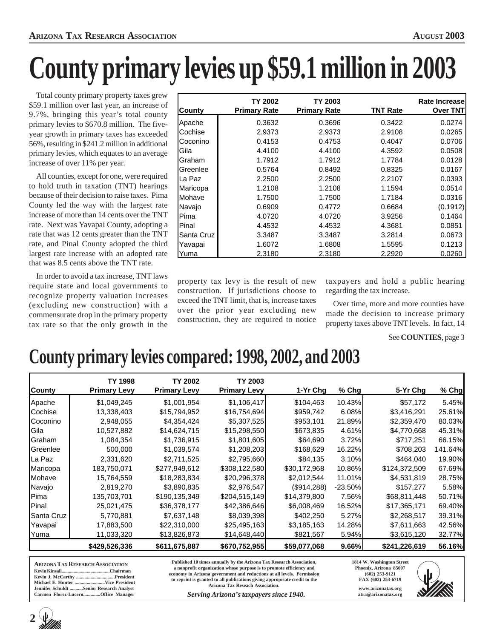# **County primary levies up \$59.1 million in 2003**

Total county primary property taxes grew \$59.1 million over last year, an increase of 9.7%, bringing this year's total county primary levies to \$670.8 million. The fiveyear growth in primary taxes has exceeded 56%, resulting in \$241.2 million in additional primary levies, which equates to an average increase of over 11% per year.

All counties, except for one, were required to hold truth in taxation (TNT) hearings because of their decision to raise taxes. Pima County led the way with the largest rate increase of more than 14 cents over the TNT rate. Next was Yavapai County, adopting a rate that was 12 cents greater than the TNT rate, and Pinal County adopted the third largest rate increase with an adopted rate that was 8.5 cents above the TNT rate.

In order to avoid a tax increase, TNT laws require state and local governments to recognize property valuation increases (excluding new construction) with a commensurate drop in the primary property tax rate so that the only growth in the

| County     | TY 2002<br><b>Primary Rate</b> | TY 2003<br><b>Primary Rate</b> | TNT Rate | <b>Rate Increasel</b><br><b>Over TNT</b> |
|------------|--------------------------------|--------------------------------|----------|------------------------------------------|
| Apache     | 0.3632                         | 0.3696                         | 0.3422   | 0.0274                                   |
| Cochise    | 2.9373                         | 2.9373                         | 2.9108   | 0.0265                                   |
| Coconino   | 0.4153                         | 0.4753                         | 0.4047   | 0.0706                                   |
| Gila       | 4.4100                         | 4.4100                         | 4.3592   | 0.0508                                   |
| Graham     | 1.7912                         | 1.7912                         | 1.7784   | 0.0128                                   |
| Greenlee   | 0.5764                         | 0.8492                         | 0.8325   | 0.0167                                   |
| La Paz     | 2.2500                         | 2.2500                         | 2.2107   | 0.0393                                   |
| Maricopa   | 1.2108                         | 1.2108                         | 1.1594   | 0.0514                                   |
| Mohave     | 1.7500                         | 1.7500                         | 1.7184   | 0.0316                                   |
| Navajo     | 0.6909                         | 0.4772                         | 0.6684   | (0.1912)                                 |
| Pima       | 4.0720                         | 4.0720                         | 3.9256   | 0.1464                                   |
| Pinal      | 4.4532                         | 4.4532                         | 4.3681   | 0.0851                                   |
| Santa Cruz | 3.3487                         | 3.3487                         | 3.2814   | 0.0673                                   |
| Yavapai    | 1.6072                         | 1.6808                         | 1.5595   | 0.1213                                   |
| Yuma       | 2.3180                         | 2.3180                         | 2.2920   | 0.0260                                   |

property tax levy is the result of new construction. If jurisdictions choose to exceed the TNT limit, that is, increase taxes over the prior year excluding new construction, they are required to notice

taxpayers and hold a public hearing regarding the tax increase.

Over time, more and more counties have made the decision to increase primary property taxes above TNT levels. In fact, 14

#### See **COUNTIES**, page 3

### **County primary levies compared: 1998, 2002, and 2003**

|               | TY 1998             | <b>TY 2002</b>      | TY 2003             |              |           |               |         |
|---------------|---------------------|---------------------|---------------------|--------------|-----------|---------------|---------|
| <b>County</b> | <b>Primary Levy</b> | <b>Primary Levy</b> | <b>Primary Levy</b> | 1-Yr Chq     | $%$ Chg   | 5-Yr Chg      | % Chg   |
| Apache        | \$1,049,245         | \$1,001,954         | \$1,106,417         | \$104,463    | 10.43%    | \$57,172      | 5.45%   |
| Cochise       | 13,338,403          | \$15,794,952        | \$16,754,694        | \$959,742    | 6.08%     | \$3,416,291   | 25.61%  |
| Coconino      | 2,948,055           | \$4,354,424         | \$5,307,525         | \$953,101    | 21.89%    | \$2,359,470   | 80.03%  |
| Gila          | 10,527,882          | \$14,624,715        | \$15,298,550        | \$673,835    | 4.61%     | \$4,770,668   | 45.31%  |
| Graham        | 1,084,354           | \$1,736,915         | \$1,801,605         | \$64,690     | 3.72%     | \$717,251     | 66.15%  |
| Greenlee      | 500,000             | \$1,039,574         | \$1,208,203         | \$168,629    | 16.22%    | \$708,203     | 141.64% |
| La Paz        | 2,331,620           | \$2,711,525         | \$2,795,660         | \$84,135     | 3.10%     | \$464,040     | 19.90%  |
| Maricopa      | 183,750,071         | \$277,949,612       | \$308,122,580       | \$30,172,968 | 10.86%    | \$124,372,509 | 67.69%  |
| Mohave        | 15,764,559          | \$18,283,834        | \$20,296,378        | \$2,012,544  | 11.01%    | \$4,531,819   | 28.75%  |
| Navajo        | 2,819,270           | \$3,890,835         | \$2,976,547         | (\$914,288)  | $-23.50%$ | \$157,277     | 5.58%   |
| Pima          | 135,703,701         | \$190,135,349       | \$204,515,149       | \$14,379,800 | 7.56%     | \$68,811,448  | 50.71%  |
| Pinal         | 25,021,475          | \$36,378,177        | \$42,386,646        | \$6,008,469  | 16.52%    | \$17,365,171  | 69.40%  |
| Santa Cruz    | 5,770,881           | \$7,637,148         | \$8,039,398         | \$402,250    | 5.27%     | \$2,268,517   | 39.31%  |
| Yavapai       | 17,883,500          | \$22,310,000        | \$25,495,163        | \$3,185,163  | 14.28%    | \$7,611,663   | 42.56%  |
| Yuma          | 11,033,320          | \$13,826,873        | \$14,648,440        | \$821,567    | 5.94%     | \$3,615,120   | 32.77%  |
|               | \$429,526,336       | \$611,675,887       | \$670,752,955       | \$59,077,068 | 9.66%     | \$241,226,619 | 56.16%  |

**ARIZONA TAX RESEARCH ASSOCIATION Kevin Kinsall........................................Chairman Kevin J. McCarthy ................................President** Michael E. Hunter ....<br>Jennifer Schuldt ........ **Jennifer Schuldt ...........Senior Research Analyst Carmen Florez-Lucero..............Office Manager**

**2** 

**Published 10 times annually by the Arizona Tax Research Association, a nonprofit organization whose purpose is to promote efficiency and economy in Arizona government and reductions at all levels. Permission to reprint is granted to all publications giving appropriate credit to the Arizona Tax Reseach Association.**

*Serving Arizona's taxpayers since 1940.*

**1814 W. Washington Street Phoenix, Arizona 85007 (602) 253-9121 FAX (602) 253-6719 www.arizonatax.org**

**atra@arizonatax.org**

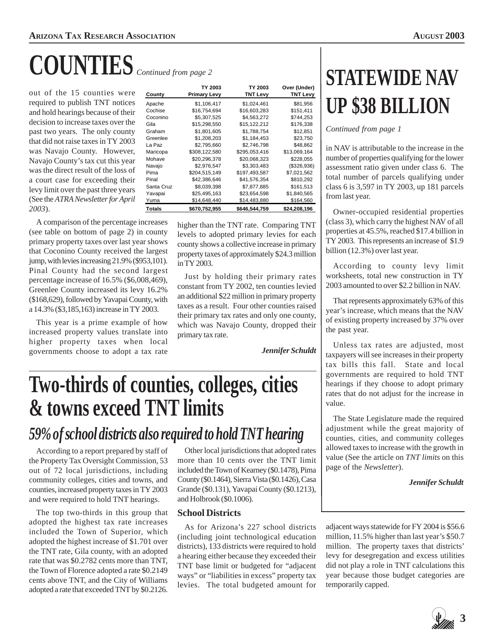# **COUNTIES** *Continued from page 2*

out of the 15 counties were required to publish TNT notices and hold hearings because of their decision to increase taxes over the past two years. The only county that did not raise taxes in TY 2003 was Navajo County. However, Navajo County's tax cut this year was the direct result of the loss of a court case for exceeding their levy limit over the past three years (See the *ATRA Newsletter for April 2003*).

| County     | TY 2003<br><b>Primary Levy</b> | TY 2003<br><b>TNT Levy</b> | Over (Under)<br><b>TNT Levy</b> |
|------------|--------------------------------|----------------------------|---------------------------------|
| Apache     | \$1,106,417                    | \$1,024,461                | \$81,956                        |
| Cochise    | \$16,754,694                   | \$16,603,283               | \$151,411                       |
| Coconino   | \$5,307,525                    | \$4,563,272                | \$744,253                       |
| Gila       | \$15,298,550                   | \$15,122,212               | \$176,338                       |
| Graham     | \$1,801,605                    | \$1.788.754                | \$12,851                        |
| Greenlee   | \$1,208,203                    | \$1,184,453                | \$23,750                        |
| La Paz     | \$2,795,660                    | \$2,746,798                | \$48,862                        |
| Maricopa   | \$308,122,580                  | \$295,053,416              | \$13,069,164                    |
| Mohave     | \$20,296,378                   | \$20,068,323               | \$228,055                       |
| Navajo     | \$2,976,547                    | \$3,303,483                | ( \$326, 936)                   |
| Pima       | \$204,515,149                  | \$197,493,587              | \$7,021,562                     |
| Pinal      | \$42,386,646                   | \$41,576,354               | \$810,292                       |
| Santa Cruz | \$8,039,398                    | \$7,877,885                | \$161,513                       |
| Yavapai    | \$25,495,163                   | \$23.654.598               | \$1,840,565                     |
| Yuma       | \$14,648,440                   | \$14,483,880               | \$164,560                       |
| Totals     | \$670,752,955                  | \$646,544,759              | \$24,208,196                    |

A comparison of the percentage increases (see table on bottom of page 2) in county primary property taxes over last year shows that Coconino County received the largest jump, with levies increasing 21.9% (\$953,101). Pinal County had the second largest percentage increase of 16.5% (\$6,008,469), Greenlee County increased its levy 16.2% (\$168,629), followed by Yavapai County, with a 14.3% (\$3,185,163) increase in TY 2003.

This year is a prime example of how increased property values translate into higher property taxes when local governments choose to adopt a tax rate

higher than the TNT rate. Comparing TNT levels to adopted primary levies for each county shows a collective increase in primary property taxes of approximately \$24.3 million in TY 2003.

Just by holding their primary rates constant from TY 2002, ten counties levied an additional \$22 million in primary property taxes as a result. Four other counties raised their primary tax rates and only one county, which was Navajo County, dropped their primary tax rate.

*Jennifer Schuldt*

## **Two-thirds of counties, colleges, cities & towns exceed TNT limits**

### *59% of school districts also required to hold TNT hearing*

According to a report prepared by staff of the Property Tax Oversight Commission, 53 out of 72 local jurisdictions, including community colleges, cities and towns, and counties, increased property taxes in TY 2003 and were required to hold TNT hearings.

The top two-thirds in this group that adopted the highest tax rate increases included the Town of Superior, which adopted the highest increase of \$1.701 over the TNT rate, Gila county, with an adopted rate that was \$0.2782 cents more than TNT, the Town of Florence adopted a rate \$0.2149 cents above TNT, and the City of Williams adopted a rate that exceeded TNT by \$0.2126.

Other local jurisdictions that adopted rates more than 10 cents over the TNT limit included the Town of Kearney (\$0.1478), Pima County (\$0.1464), Sierra Vista (\$0.1426), Casa Grande (\$0.131), Yavapai County (\$0.1213), and Holbrook (\$0.1006).

#### **School Districts**

As for Arizona's 227 school districts (including joint technological education districts), 133 districts were required to hold a hearing either because they exceeded their TNT base limit or budgeted for "adjacent ways" or "liabilities in excess" property tax levies. The total budgeted amount for

## **STATEWIDE NAV UP \$38 BILLION**

*Continued from page 1*

in NAV is attributable to the increase in the number of properties qualifying for the lower assessment ratio given under class 6. The total number of parcels qualifying under class 6 is 3,597 in TY 2003, up 181 parcels from last year.

Owner-occupied residential properties (class 3), which carry the highest NAV of all properties at 45.5%, reached \$17.4 billion in TY 2003. This represents an increase of \$1.9 billion (12.3%) over last year.

According to county levy limit worksheets, total new construction in TY 2003 amounted to over \$2.2 billion in NAV.

That represents approximately 63% of this year's increase, which means that the NAV of existing property increased by 37% over the past year.

Unless tax rates are adjusted, most taxpayers will see increases in their property tax bills this fall. State and local governments are required to hold TNT hearings if they choose to adopt primary rates that do not adjust for the increase in value.

The State Legislature made the required adjustment while the great majority of counties, cities, and community colleges allowed taxes to increase with the growth in value (See the article on *TNT limits* on this page of the *Newsletter*).

*Jennifer Schuldt*

adjacent ways statewide for FY 2004 is \$56.6 million, 11.5% higher than last year's \$50.7 million. The property taxes that districts' levy for desegregation and excess utilities did not play a role in TNT calculations this year because those budget categories are temporarily capped.



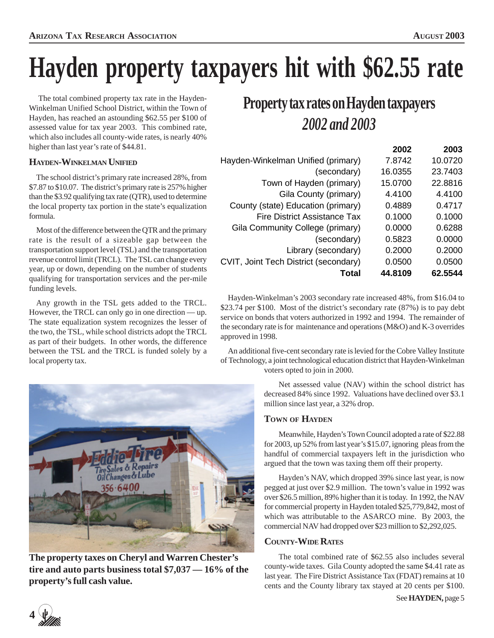# **Hayden property taxpayers hit with \$62.55 rate**

 The total combined property tax rate in the Hayden-Winkelman Unified School District, within the Town of Hayden, has reached an astounding \$62.55 per \$100 of assessed value for tax year 2003. This combined rate, which also includes all county-wide rates, is nearly 40% higher than last year's rate of \$44.81.

#### **HAYDEN-WINKELMAN UNIFIED**

The school district's primary rate increased 28%, from \$7.87 to \$10.07. The district's primary rate is 257% higher than the \$3.92 qualifying tax rate (QTR), used to determine the local property tax portion in the state's equalization formula.

Most of the difference between the QTR and the primary rate is the result of a sizeable gap between the transportation support level (TSL) and the transportation revenue control limit (TRCL). The TSL can change every year, up or down, depending on the number of students qualifying for transportation services and the per-mile funding levels.

Any growth in the TSL gets added to the TRCL. However, the TRCL can only go in one direction — up. The state equalization system recognizes the lesser of the two, the TSL, while school districts adopt the TRCL as part of their budgets. In other words, the difference between the TSL and the TRCL is funded solely by a local property tax.



**The property taxes on Cheryl and Warren Chester's tire and auto parts business total \$7,037 — 16% of the property's full cash value.**

### **Property tax rates on Hayden taxpayers** *2002 and 2003*

|         | 2003    |
|---------|---------|
| 7.8742  | 10.0720 |
| 16.0355 | 23.7403 |
| 15.0700 | 22.8816 |
| 4.4100  | 4.4100  |
| 0.4889  | 0.4717  |
| 0.1000  | 0.1000  |
| 0.0000  | 0.6288  |
| 0.5823  | 0.0000  |
| 0.2000  | 0.2000  |
| 0.0500  | 0.0500  |
| 44.8109 | 62.5544 |
|         | 2002    |

Hayden-Winkelman's 2003 secondary rate increased 48%, from \$16.04 to \$23.74 per \$100. Most of the district's secondary rate (87%) is to pay debt service on bonds that voters authorized in 1992 and 1994. The remainder of the secondary rate is for maintenance and operations (M&O) and K-3 overrides approved in 1998.

An additional five-cent secondary rate is levied for the Cobre Valley Institute of Technology, a joint technological education district that Hayden-Winkelman voters opted to join in 2000.

> Net assessed value (NAV) within the school district has decreased 84% since 1992. Valuations have declined over \$3.1 million since last year, a 32% drop.

#### **TOWN OF HAYDEN**

Meanwhile, Hayden's Town Council adopted a rate of \$22.88 for 2003, up 52% from last year's \$15.07, ignoring pleas from the handful of commercial taxpayers left in the jurisdiction who argued that the town was taxing them off their property.

Hayden's NAV, which dropped 39% since last year, is now pegged at just over \$2.9 million. The town's value in 1992 was over \$26.5 million, 89% higher than it is today. In 1992, the NAV for commercial property in Hayden totaled \$25,779,842, most of which was attributable to the ASARCO mine. By 2003, the commercial NAV had dropped over \$23 million to \$2,292,025.

#### **COUNTY-WIDE RATES**

The total combined rate of \$62.55 also includes several county-wide taxes. Gila County adopted the same \$4.41 rate as last year. The Fire District Assistance Tax (FDAT) remains at 10 cents and the County library tax stayed at 20 cents per \$100.

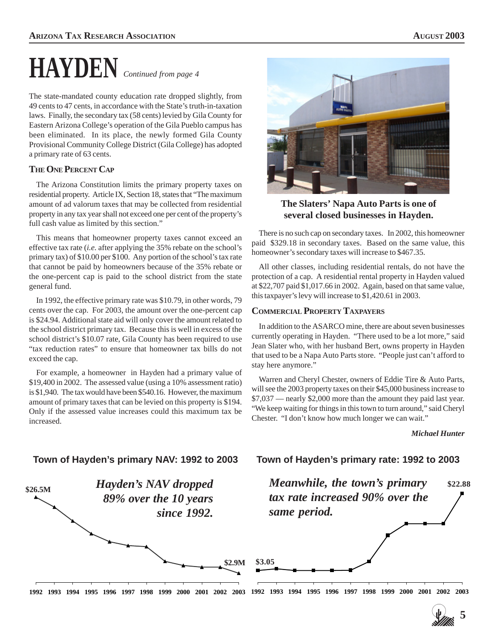# *Continued from page 4* **HAYDEN**

The state-mandated county education rate dropped slightly, from 49 cents to 47 cents, in accordance with the State's truth-in-taxation laws. Finally, the secondary tax (58 cents) levied by Gila County for Eastern Arizona College's operation of the Gila Pueblo campus has been eliminated. In its place, the newly formed Gila County Provisional Community College District (Gila College) has adopted a primary rate of 63 cents.

#### **THE ONE PERCENT CAP**

The Arizona Constitution limits the primary property taxes on residential property. Article IX, Section 18, states that "The maximum amount of ad valorum taxes that may be collected from residential property in any tax year shall not exceed one per cent of the property's full cash value as limited by this section."

This means that homeowner property taxes cannot exceed an effective tax rate (*i.e.* after applying the 35% rebate on the school's primary tax) of \$10.00 per \$100. Any portion of the school's tax rate that cannot be paid by homeowners because of the 35% rebate or the one-percent cap is paid to the school district from the state general fund.

In 1992, the effective primary rate was \$10.79, in other words, 79 cents over the cap. For 2003, the amount over the one-percent cap is \$24.94. Additional state aid will only cover the amount related to the school district primary tax. Because this is well in excess of the school district's \$10.07 rate, Gila County has been required to use "tax reduction rates" to ensure that homeowner tax bills do not exceed the cap.

For example, a homeowner in Hayden had a primary value of \$19,400 in 2002. The assessed value (using a 10% assessment ratio) is \$1,940. The tax would have been \$540.16. However, the maximum amount of primary taxes that can be levied on this property is \$194. Only if the assessed value increases could this maximum tax be increased.



**The Slaters' Napa Auto Parts is one of several closed businesses in Hayden.**

There is no such cap on secondary taxes. In 2002, this homeowner paid \$329.18 in secondary taxes. Based on the same value, this homeowner's secondary taxes will increase to \$467.35.

All other classes, including residential rentals, do not have the protection of a cap. A residential rental property in Hayden valued at \$22,707 paid \$1,017.66 in 2002. Again, based on that same value, this taxpayer's levy will increase to \$1,420.61 in 2003.

#### **COMMERCIAL PROPERTY TAXPAYERS**

In addition to the ASARCO mine, there are about seven businesses currently operating in Hayden. "There used to be a lot more," said Jean Slater who, with her husband Bert, owns property in Hayden that used to be a Napa Auto Parts store. "People just can't afford to stay here anymore."

Warren and Cheryl Chester, owners of Eddie Tire & Auto Parts, will see the 2003 property taxes on their \$45,000 business increase to \$7,037 — nearly \$2,000 more than the amount they paid last year. "We keep waiting for things in this town to turn around," said Cheryl Chester. "I don't know how much longer we can wait."

*Michael Hunter*



#### **Town of Hayden's primary NAV: 1992 to 2003**

#### **Town of Hayden's primary rate: 1992 to 2003**